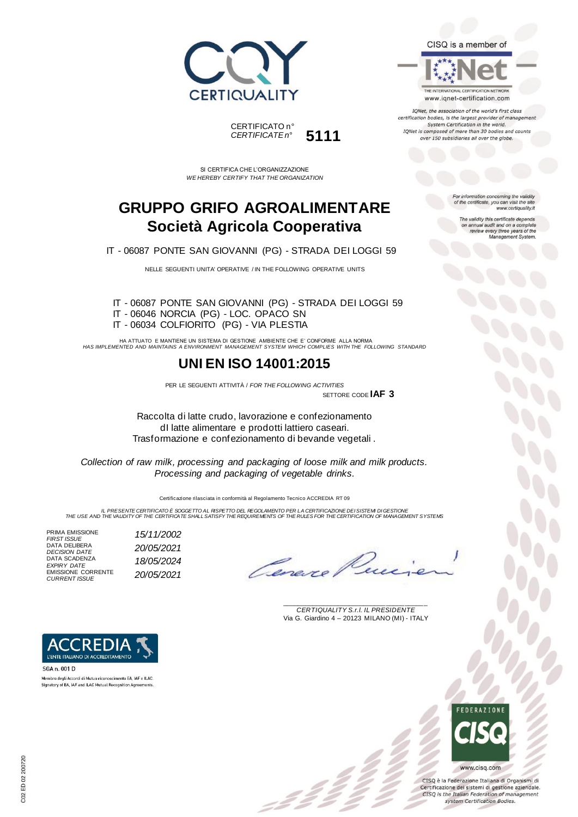



SI CERTIFICA CHE L'ORGANIZZAZIONE *WE HEREBY CERTIFY THAT THE ORGANIZATION*

## **GRUPPO GRIFO AGROALIMENTARE Società Agricola Cooperativa**

IT - 06087 PONTE SAN GIOVANNI (PG) - STRADA DEI LOGGI 59

NELLE SEGUENTI UNITA' OPERATIVE / IN THE FOLLOWING OPERATIVE UNITS

IT - 06087 PONTE SAN GIOVANNI (PG) - STRADA DEI LOGGI 59 IT - 06046 NORCIA (PG) - LOC. OPACO SN IT - 06034 COLFIORITO (PG) - VIA PLESTIA

HA ATTUATO E MANTIENE UN SISTEMA DI GESTIONE AMBIENTE CHE E' CONFORME ALLA NORMA *HAS IMPLEMENTED AND MAINTAINS A ENVIRONMENT MANAGEMENT SYSTEM WHICH COMPLIES WITH THE FOLLOWING STANDARD*

### **UNI EN ISO 14001:2015**

PER LE SEGUENTI ATTIVITÀ / *FOR THE FOLLOWING ACTIVITIES* SETTORE CODE **IAF 3**

Raccolta di latte crudo, lavorazione e confezionamento dI latte alimentare e prodotti lattiero caseari. Trasformazione e confezionamento di bevande vegetali .

*Collection of raw milk, processing and packaging of loose milk and milk products. Processing and packaging of vegetable drinks.* 

Certificazione rilasciata in conformità al Regolamento Tecnico ACCREDIA RT 09

*IL PRESENTE CERTIFICATO È SOGGETTO AL RISPETTO DEL REGOLAMENTO PER LA CERTIFICAZIONE DEI SISTEMI DI GESTIONE THE USE AND THE VALIDITY OF THE CERTIFICATE SHALL SATISFY THE REQUIREMENTS OF THE RULES FOR THE CERTIFICATION OF MANAGEMENT SYSTEMS*

PRIMA EMISSIONE *FIRST ISSUE 15/11/2002* FIRST ISSUE<br>DATA DELIBERA *DECISION DATE 20/05/2021* DATA SCADENZA *EXPIRY DATE 18/05/2024* EMISSIONE CORRENTE *CURRENT ISSUE 20/05/2021*

Cenere

\_\_\_\_\_\_\_\_\_\_\_\_\_\_\_\_\_\_\_\_\_\_\_\_\_\_\_\_\_\_\_\_\_\_\_\_\_\_\_ *CERTIQUALITY S.r.l. IL PRESIDENTE* Via G. Giardino 4 – 20123 MILANO (MI) - ITALY



SGA n. 001 D Membro degli Accordi di Mutuo riconoscimento EA, IAF e ILAC. Signatory of EA, IAF and ILAC Mutual Recognition Agreeme

> **FDFRATIONS** www.cisq.com

CISQ è la Federazione Italiana di Organismi di Certificazione dei sistemi di gestione aziendale. CISQ is the Italian Federation of management system Certification Bodies.



THE INTERNATIONAL CERTIFICATION NETWORK www.iqnet-certification.com

IQNet, the association of the world's first class certification bodies, is the largest provider of managen System Certification in the world. IQNet is composed of more than 30 bodies and counts over 150 subsidiaries all over the globe.

> For information concerning the validity<br>of the certificate, you can visit the site www.certiquality.it

> > The validity this certificate depends on annual audit and on a complete<br>review every three years of the<br>Management System.